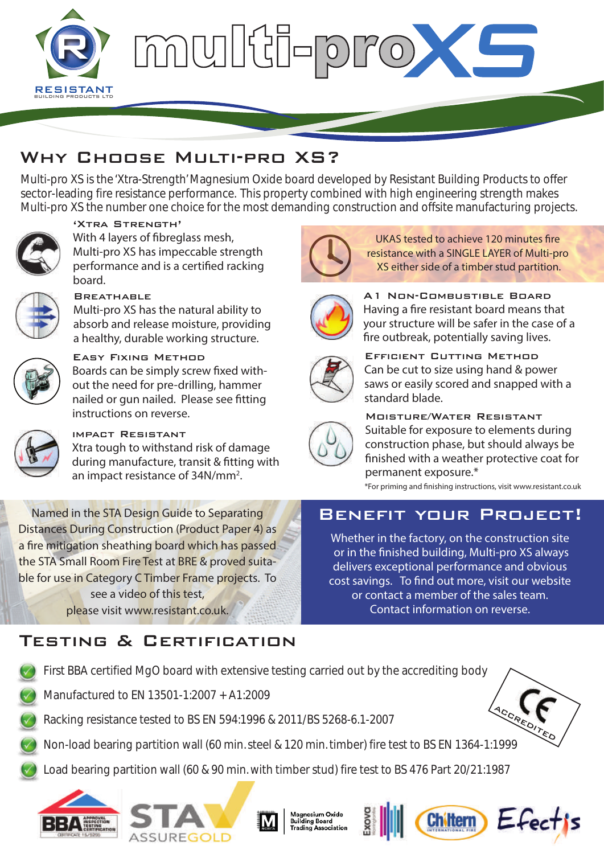

# multi-prox

# Why Choose Multi-pro XS?

Multi-pro XS is the 'Xtra-Strength' Magnesium Oxide board developed by Resistant Building Products to offer sector-leading fire resistance performance. This property combined with high engineering strength makes Multi-pro XS the number one choice for the most demanding construction and offsite manufacturing projects.



## 'Xtra Strength'

With 4 layers of fibreglass mesh, Multi-pro XS has impeccable strength performance and is a certified racking board.



#### **BREATHABLE**

Multi-pro XS has the natural ability to absorb and release moisture, providing a healthy, durable working structure.



### Easy Fixing Method

Boards can be simply screw fixed without the need for pre-drilling, hammer nailed or gun nailed. Please see fitting instructions on reverse.



# impact Resistant

Xtra tough to withstand risk of damage during manufacture, transit & fitting with an impact resistance of 34N/mm<sup>2</sup>.

Named in the STA Design Guide to Separating Distances During Construction (Product Paper 4) as a fire mitigation sheathing board which has passed the STA Small Room Fire Test at BRE & proved suitable for use in Category C Timber Frame projects. To see a video of this test, please visit www.resistant.co.uk.

# Testing & Certification



UKAS tested to achieve 120 minutes fire resistance with a SINGLE LAYER of Multi-pro XS either side of a timber stud partition.



A1 Non-Combustible Board Having a fire resistant board means that your structure will be safer in the case of a fire outbreak, potentially saving lives.



Efficient Cutting Method Can be cut to size using hand & power saws or easily scored and snapped with a standard blade.



Moisture/Water Resistant Suitable for exposure to elements during construction phase, but should always be finished with a weather protective coat for permanent exposure.\*

\*For priming and nishing instructions, visit www.resistant.co.uk

# Benefit your Project!

Whether in the factory, on the construction site or in the finished building, Multi-pro XS always delivers exceptional performance and obvious  $\overline{\text{cost}}$  savings. To find out more, visit our website or contact a member of the sales team. Contact information on reverse.



- Manufactured to EN 13501-1:2007 + A1:2009
- Racking resistance tested to BS EN 594:1996 & 2011/BS 5268-6.1-2007
- ACCREDITED Non-load bearing partition wall (60 min. steel & 120 min. timber) fire test to BS EN 1364-1:1999
- Load bearing partition wall (60 & 90 min. with timber stud) fire test to BS 476 Part 20/21:1987